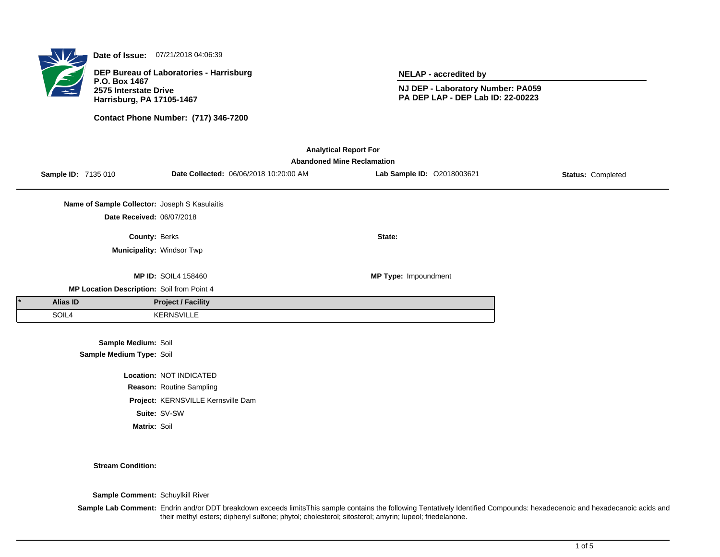

**Date of Issue:** 07/21/2018 04:06:39

**DEP Bureau of Laboratories - Harrisburg P.O. Box 1467 2575 Interstate Drive Harrisburg, PA 17105-1467**

**Contact Phone Number: (717) 346-7200**

**NELAP - accredited by**

**NJ DEP - Laboratory Number: PA059 PA DEP LAP - DEP Lab ID: 22-00223**

| <b>Analytical Report For</b>               |                                   |                                               |                                    |                                        |                            |                          |  |  |
|--------------------------------------------|-----------------------------------|-----------------------------------------------|------------------------------------|----------------------------------------|----------------------------|--------------------------|--|--|
|                                            | <b>Abandoned Mine Reclamation</b> |                                               |                                    |                                        |                            |                          |  |  |
|                                            | Sample ID: 7135 010               |                                               |                                    | Date Collected: 06/06/2018 10:20:00 AM | Lab Sample ID: 02018003621 | <b>Status: Completed</b> |  |  |
|                                            |                                   |                                               |                                    |                                        |                            |                          |  |  |
|                                            |                                   | Name of Sample Collector: Joseph S Kasulaitis |                                    |                                        |                            |                          |  |  |
|                                            |                                   | Date Received: 06/07/2018                     |                                    |                                        |                            |                          |  |  |
|                                            |                                   | <b>County: Berks</b>                          |                                    |                                        | State:                     |                          |  |  |
|                                            |                                   | Municipality: Windsor Twp                     |                                    |                                        |                            |                          |  |  |
|                                            |                                   |                                               |                                    |                                        |                            |                          |  |  |
|                                            |                                   |                                               | <b>MP ID: SOIL4 158460</b>         |                                        | MP Type: Impoundment       |                          |  |  |
| MP Location Description: Soil from Point 4 |                                   |                                               |                                    |                                        |                            |                          |  |  |
|                                            | Alias ID                          |                                               | <b>Project / Facility</b>          |                                        |                            |                          |  |  |
|                                            | SOIL4                             |                                               | KERNSVILLE                         |                                        |                            |                          |  |  |
|                                            |                                   |                                               |                                    |                                        |                            |                          |  |  |
|                                            | Sample Medium: Soil               |                                               |                                    |                                        |                            |                          |  |  |
| Sample Medium Type: Soil                   |                                   |                                               |                                    |                                        |                            |                          |  |  |
|                                            |                                   |                                               | Location: NOT INDICATED            |                                        |                            |                          |  |  |
|                                            |                                   |                                               | Reason: Routine Sampling           |                                        |                            |                          |  |  |
|                                            |                                   |                                               | Project: KERNSVILLE Kernsville Dam |                                        |                            |                          |  |  |
|                                            |                                   |                                               |                                    |                                        |                            |                          |  |  |

**Suite:** SV-SW

**Matrix:** Soil

**Stream Condition:**

**Sample Comment:** Schuylkill River

**Sample Lab Comment:** Endrin and/or DDT breakdown exceeds limitsThis sample contains the following Tentatively Identified Compounds: hexadecenoic and hexadecanoic acids and their methyl esters; diphenyl sulfone; phytol; cholesterol; sitosterol; amyrin; lupeol; friedelanone.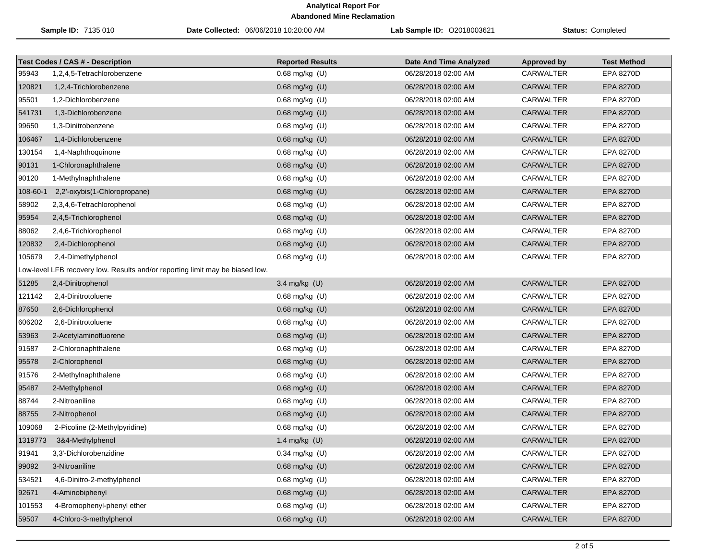|          | Sample ID: 7135 010                                                           | Date Collected: 06/06/2018 10:20:00 AM | Lab Sample ID: 02018003621    | <b>Status: Completed</b> |                    |
|----------|-------------------------------------------------------------------------------|----------------------------------------|-------------------------------|--------------------------|--------------------|
|          | <b>Test Codes / CAS # - Description</b>                                       | <b>Reported Results</b>                | <b>Date And Time Analyzed</b> | <b>Approved by</b>       | <b>Test Method</b> |
| 95943    | 1,2,4,5-Tetrachlorobenzene                                                    | 0.68 mg/kg (U)                         | 06/28/2018 02:00 AM           | <b>CARWALTER</b>         | EPA 8270D          |
| 120821   | 1,2,4-Trichlorobenzene                                                        | $0.68$ mg/kg (U)                       | 06/28/2018 02:00 AM           | <b>CARWALTER</b>         | <b>EPA 8270D</b>   |
| 95501    | 1,2-Dichlorobenzene                                                           | $0.68$ mg/kg $(U)$                     | 06/28/2018 02:00 AM           | CARWALTER                | <b>EPA 8270D</b>   |
| 541731   | 1,3-Dichlorobenzene                                                           | 0.68 mg/kg (U)                         | 06/28/2018 02:00 AM           | <b>CARWALTER</b>         | <b>EPA 8270D</b>   |
| 99650    | 1,3-Dinitrobenzene                                                            | 0.68 mg/kg (U)                         | 06/28/2018 02:00 AM           | CARWALTER                | <b>EPA 8270D</b>   |
| 106467   | 1,4-Dichlorobenzene                                                           | 0.68 mg/kg (U)                         | 06/28/2018 02:00 AM           | <b>CARWALTER</b>         | <b>EPA 8270D</b>   |
| 130154   | 1,4-Naphthoquinone                                                            | 0.68 mg/kg (U)                         | 06/28/2018 02:00 AM           | CARWALTER                | <b>EPA 8270D</b>   |
| 90131    | 1-Chloronaphthalene                                                           | 0.68 mg/kg (U)                         | 06/28/2018 02:00 AM           | <b>CARWALTER</b>         | <b>EPA 8270D</b>   |
| 90120    | 1-Methylnaphthalene                                                           | 0.68 mg/kg (U)                         | 06/28/2018 02:00 AM           | CARWALTER                | <b>EPA 8270D</b>   |
| 108-60-1 | 2,2'-oxybis(1-Chloropropane)                                                  | 0.68 mg/kg (U)                         | 06/28/2018 02:00 AM           | <b>CARWALTER</b>         | <b>EPA 8270D</b>   |
| 58902    | 2,3,4,6-Tetrachlorophenol                                                     | 0.68 mg/kg (U)                         | 06/28/2018 02:00 AM           | CARWALTER                | <b>EPA 8270D</b>   |
| 95954    | 2,4,5-Trichlorophenol                                                         | $0.68$ mg/kg $(U)$                     | 06/28/2018 02:00 AM           | <b>CARWALTER</b>         | <b>EPA 8270D</b>   |
| 88062    | 2,4,6-Trichlorophenol                                                         | 0.68 mg/kg (U)                         | 06/28/2018 02:00 AM           | CARWALTER                | EPA 8270D          |
| 120832   | 2,4-Dichlorophenol                                                            | 0.68 mg/kg (U)                         | 06/28/2018 02:00 AM           | <b>CARWALTER</b>         | <b>EPA 8270D</b>   |
| 105679   | 2,4-Dimethylphenol                                                            | 0.68 mg/kg (U)                         | 06/28/2018 02:00 AM           | <b>CARWALTER</b>         | EPA 8270D          |
|          | Low-level LFB recovery low. Results and/or reporting limit may be biased low. |                                        |                               |                          |                    |
| 51285    | 2,4-Dinitrophenol                                                             | 3.4 mg/kg (U)                          | 06/28/2018 02:00 AM           | <b>CARWALTER</b>         | <b>EPA 8270D</b>   |
| 121142   | 2,4-Dinitrotoluene                                                            | $0.68$ mg/kg $(U)$                     | 06/28/2018 02:00 AM           | CARWALTER                | <b>EPA 8270D</b>   |
| 87650    | 2,6-Dichlorophenol                                                            | 0.68 mg/kg (U)                         | 06/28/2018 02:00 AM           | <b>CARWALTER</b>         | <b>EPA 8270D</b>   |
| 606202   | 2,6-Dinitrotoluene                                                            | 0.68 mg/kg (U)                         | 06/28/2018 02:00 AM           | CARWALTER                | EPA 8270D          |
| 53963    | 2-Acetylaminofluorene                                                         | 0.68 mg/kg (U)                         | 06/28/2018 02:00 AM           | <b>CARWALTER</b>         | <b>EPA 8270D</b>   |
| 91587    | 2-Chloronaphthalene                                                           | 0.68 mg/kg (U)                         | 06/28/2018 02:00 AM           | CARWALTER                | EPA 8270D          |
| 95578    | 2-Chlorophenol                                                                | 0.68 mg/kg (U)                         | 06/28/2018 02:00 AM           | <b>CARWALTER</b>         | <b>EPA 8270D</b>   |
| 91576    | 2-Methylnaphthalene                                                           | 0.68 mg/kg (U)                         | 06/28/2018 02:00 AM           | CARWALTER                | <b>EPA 8270D</b>   |
| 95487    | 2-Methylphenol                                                                | 0.68 mg/kg (U)                         | 06/28/2018 02:00 AM           | <b>CARWALTER</b>         | <b>EPA 8270D</b>   |
| 88744    | 2-Nitroaniline                                                                | 0.68 mg/kg (U)                         | 06/28/2018 02:00 AM           | CARWALTER                | <b>EPA 8270D</b>   |
| 88755    | 2-Nitrophenol                                                                 | 0.68 mg/kg (U)                         | 06/28/2018 02:00 AM           | <b>CARWALTER</b>         | <b>EPA 8270D</b>   |
| 109068   | 2-Picoline (2-Methylpyridine)                                                 | 0.68 mg/kg (U)                         | 06/28/2018 02:00 AM           | CARWALTER                | EPA 8270D          |
| 1319773  | 3&4-Methylphenol                                                              | 1.4 mg/kg $(U)$                        | 06/28/2018 02:00 AM           | CARWALTER                | <b>EPA 8270D</b>   |
| 91941    | 3,3'-Dichlorobenzidine                                                        | 0.34 mg/kg (U)                         | 06/28/2018 02:00 AM           | <b>CARWALTER</b>         | EPA 8270D          |
| 99092    | 3-Nitroaniline                                                                | 0.68 mg/kg (U)                         | 06/28/2018 02:00 AM           | <b>CARWALTER</b>         | EPA 8270D          |
| 534521   | 4,6-Dinitro-2-methylphenol                                                    | 0.68 mg/kg (U)                         | 06/28/2018 02:00 AM           | CARWALTER                | EPA 8270D          |
| 92671    | 4-Aminobiphenyl                                                               | 0.68 mg/kg (U)                         | 06/28/2018 02:00 AM           | CARWALTER                | EPA 8270D          |
| 101553   | 4-Bromophenyl-phenyl ether                                                    | 0.68 mg/kg (U)                         | 06/28/2018 02:00 AM           | CARWALTER                | EPA 8270D          |
| 59507    | 4-Chloro-3-methylphenol                                                       | 0.68 mg/kg (U)                         | 06/28/2018 02:00 AM           | CARWALTER                | <b>EPA 8270D</b>   |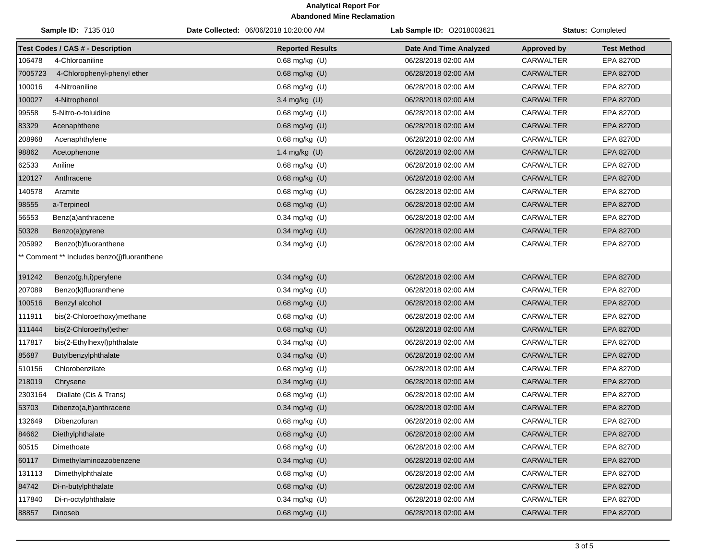|         | Sample ID: 7135 010                         | Date Collected: 06/06/2018 10:20:00 AM | Lab Sample ID: 02018003621 |                    | Status: Completed  |
|---------|---------------------------------------------|----------------------------------------|----------------------------|--------------------|--------------------|
|         | <b>Test Codes / CAS # - Description</b>     | <b>Reported Results</b>                | Date And Time Analyzed     | <b>Approved by</b> | <b>Test Method</b> |
| 106478  | 4-Chloroaniline                             | 0.68 mg/kg (U)                         | 06/28/2018 02:00 AM        | <b>CARWALTER</b>   | EPA 8270D          |
| 7005723 | 4-Chlorophenyl-phenyl ether                 | 0.68 mg/kg (U)                         | 06/28/2018 02:00 AM        | CARWALTER          | EPA 8270D          |
| 100016  | 4-Nitroaniline                              | $0.68$ mg/kg $(U)$                     | 06/28/2018 02:00 AM        | CARWALTER          | EPA 8270D          |
| 100027  | 4-Nitrophenol                               | 3.4 mg/kg (U)                          | 06/28/2018 02:00 AM        | <b>CARWALTER</b>   | EPA 8270D          |
| 99558   | 5-Nitro-o-toluidine                         | 0.68 mg/kg (U)                         | 06/28/2018 02:00 AM        | CARWALTER          | EPA 8270D          |
| 83329   | Acenaphthene                                | 0.68 mg/kg (U)                         | 06/28/2018 02:00 AM        | <b>CARWALTER</b>   | EPA 8270D          |
| 208968  | Acenaphthylene                              | 0.68 mg/kg (U)                         | 06/28/2018 02:00 AM        | CARWALTER          | <b>EPA 8270D</b>   |
| 98862   | Acetophenone                                | 1.4 mg/kg (U)                          | 06/28/2018 02:00 AM        | <b>CARWALTER</b>   | EPA 8270D          |
| 62533   | Aniline                                     | 0.68 mg/kg (U)                         | 06/28/2018 02:00 AM        | CARWALTER          | <b>EPA 8270D</b>   |
| 120127  | Anthracene                                  | 0.68 mg/kg (U)                         | 06/28/2018 02:00 AM        | <b>CARWALTER</b>   | EPA 8270D          |
| 140578  | Aramite                                     | 0.68 mg/kg (U)                         | 06/28/2018 02:00 AM        | CARWALTER          | <b>EPA 8270D</b>   |
| 98555   | a-Terpineol                                 | 0.68 mg/kg (U)                         | 06/28/2018 02:00 AM        | <b>CARWALTER</b>   | EPA 8270D          |
| 56553   | Benz(a)anthracene                           | 0.34 mg/kg (U)                         | 06/28/2018 02:00 AM        | CARWALTER          | EPA 8270D          |
| 50328   | Benzo(a)pyrene                              | 0.34 mg/kg (U)                         | 06/28/2018 02:00 AM        | <b>CARWALTER</b>   | <b>EPA 8270D</b>   |
| 205992  | Benzo(b)fluoranthene                        | 0.34 mg/kg (U)                         | 06/28/2018 02:00 AM        | CARWALTER          | EPA 8270D          |
|         | ** Comment ** Includes benzo(j)fluoranthene |                                        |                            |                    |                    |
| 191242  | Benzo(g,h,i)perylene                        | 0.34 mg/kg (U)                         | 06/28/2018 02:00 AM        | <b>CARWALTER</b>   | <b>EPA 8270D</b>   |
| 207089  | Benzo(k)fluoranthene                        | 0.34 mg/kg (U)                         | 06/28/2018 02:00 AM        | CARWALTER          | <b>EPA 8270D</b>   |
| 100516  | Benzyl alcohol                              | 0.68 mg/kg (U)                         | 06/28/2018 02:00 AM        | <b>CARWALTER</b>   | <b>EPA 8270D</b>   |
| 111911  | bis(2-Chloroethoxy)methane                  | $0.68$ mg/kg $(U)$                     | 06/28/2018 02:00 AM        | CARWALTER          | EPA 8270D          |
| 111444  | bis(2-Chloroethyl)ether                     | 0.68 mg/kg (U)                         | 06/28/2018 02:00 AM        | <b>CARWALTER</b>   | EPA 8270D          |
| 117817  | bis(2-Ethylhexyl)phthalate                  | 0.34 mg/kg (U)                         | 06/28/2018 02:00 AM        | CARWALTER          | <b>EPA 8270D</b>   |
| 85687   | Butylbenzylphthalate                        | 0.34 mg/kg (U)                         | 06/28/2018 02:00 AM        | <b>CARWALTER</b>   | EPA 8270D          |
| 510156  | Chlorobenzilate                             | 0.68 mg/kg (U)                         | 06/28/2018 02:00 AM        | CARWALTER          | EPA 8270D          |
| 218019  | Chrysene                                    | $0.34$ mg/kg (U)                       | 06/28/2018 02:00 AM        | <b>CARWALTER</b>   | EPA 8270D          |
| 2303164 | Diallate (Cis & Trans)                      | 0.68 mg/kg (U)                         | 06/28/2018 02:00 AM        | CARWALTER          | EPA 8270D          |
| 53703   | Dibenzo(a,h)anthracene                      | 0.34 mg/kg (U)                         | 06/28/2018 02:00 AM        | <b>CARWALTER</b>   | EPA 8270D          |
| 132649  | Dibenzofuran                                | 0.68 mg/kg (U)                         | 06/28/2018 02:00 AM        | <b>CARWALTER</b>   | <b>EPA 8270D</b>   |
| 84662   | Diethylphthalate                            | 0.68 mg/kg (U)                         | 06/28/2018 02:00 AM        | CARWALTER          | EPA 8270D          |
| 60515   | Dimethoate                                  | $0.68$ mg/kg $(U)$                     | 06/28/2018 02:00 AM        | CARWALTER          | EPA 8270D          |
| 60117   | Dimethylaminoazobenzene                     | 0.34 mg/kg (U)                         | 06/28/2018 02:00 AM        | CARWALTER          | EPA 8270D          |
| 131113  | Dimethylphthalate                           | 0.68 mg/kg (U)                         | 06/28/2018 02:00 AM        | CARWALTER          | EPA 8270D          |
| 84742   | Di-n-butylphthalate                         | 0.68 mg/kg (U)                         | 06/28/2018 02:00 AM        | CARWALTER          | <b>EPA 8270D</b>   |
| 117840  | Di-n-octylphthalate                         | $0.34$ mg/kg (U)                       | 06/28/2018 02:00 AM        | CARWALTER          | EPA 8270D          |
| 88857   | Dinoseb                                     | $0.68$ mg/kg $(U)$                     | 06/28/2018 02:00 AM        | CARWALTER          | EPA 8270D          |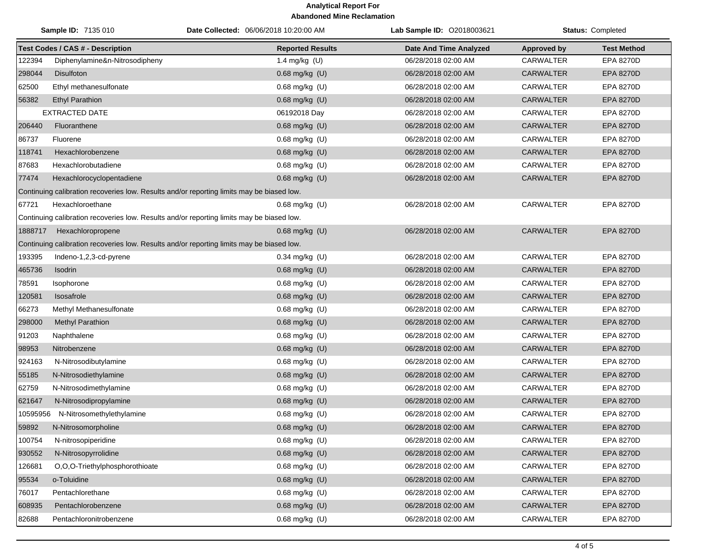|          | Sample ID: 7135 010                     | Date Collected: 06/06/2018 10:20:00 AM                                                    | Lab Sample ID: 02018003621    |                    | <b>Status: Completed</b> |
|----------|-----------------------------------------|-------------------------------------------------------------------------------------------|-------------------------------|--------------------|--------------------------|
|          | <b>Test Codes / CAS # - Description</b> | <b>Reported Results</b>                                                                   | <b>Date And Time Analyzed</b> | <b>Approved by</b> | <b>Test Method</b>       |
| 122394   | Diphenylamine&n-Nitrosodipheny          | 1.4 mg/kg (U)                                                                             | 06/28/2018 02:00 AM           | <b>CARWALTER</b>   | EPA 8270D                |
| 298044   | <b>Disulfoton</b>                       | 0.68 mg/kg (U)                                                                            | 06/28/2018 02:00 AM           | <b>CARWALTER</b>   | <b>EPA 8270D</b>         |
| 62500    | Ethyl methanesulfonate                  | 0.68 mg/kg (U)                                                                            | 06/28/2018 02:00 AM           | CARWALTER          | EPA 8270D                |
| 56382    | <b>Ethyl Parathion</b>                  | 0.68 mg/kg (U)                                                                            | 06/28/2018 02:00 AM           | <b>CARWALTER</b>   | EPA 8270D                |
|          | <b>EXTRACTED DATE</b>                   | 06192018 Day                                                                              | 06/28/2018 02:00 AM           | CARWALTER          | EPA 8270D                |
| 206440   | Fluoranthene                            | $0.68$ mg/kg $(U)$                                                                        | 06/28/2018 02:00 AM           | <b>CARWALTER</b>   | <b>EPA 8270D</b>         |
| 86737    | Fluorene                                | 0.68 mg/kg (U)                                                                            | 06/28/2018 02:00 AM           | CARWALTER          | EPA 8270D                |
| 118741   | Hexachlorobenzene                       | 0.68 mg/kg (U)                                                                            | 06/28/2018 02:00 AM           | <b>CARWALTER</b>   | <b>EPA 8270D</b>         |
| 87683    | Hexachlorobutadiene                     | 0.68 mg/kg (U)                                                                            | 06/28/2018 02:00 AM           | <b>CARWALTER</b>   | EPA 8270D                |
| 77474    | Hexachlorocyclopentadiene               | 0.68 mg/kg (U)                                                                            | 06/28/2018 02:00 AM           | <b>CARWALTER</b>   | <b>EPA 8270D</b>         |
|          |                                         | Continuing calibration recoveries low. Results and/or reporting limits may be biased low. |                               |                    |                          |
| 67721    | Hexachloroethane                        | $0.68$ mg/kg $(U)$                                                                        | 06/28/2018 02:00 AM           | CARWALTER          | <b>EPA 8270D</b>         |
|          |                                         | Continuing calibration recoveries low. Results and/or reporting limits may be biased low. |                               |                    |                          |
| 1888717  | Hexachloropropene                       | $0.68$ mg/kg (U)                                                                          | 06/28/2018 02:00 AM           | <b>CARWALTER</b>   | <b>EPA 8270D</b>         |
|          |                                         | Continuing calibration recoveries low. Results and/or reporting limits may be biased low. |                               |                    |                          |
| 193395   | Indeno-1,2,3-cd-pyrene                  | $0.34$ mg/kg (U)                                                                          | 06/28/2018 02:00 AM           | CARWALTER          | EPA 8270D                |
| 465736   | Isodrin                                 | 0.68 mg/kg (U)                                                                            | 06/28/2018 02:00 AM           | <b>CARWALTER</b>   | <b>EPA 8270D</b>         |
| 78591    | Isophorone                              | 0.68 mg/kg (U)                                                                            | 06/28/2018 02:00 AM           | <b>CARWALTER</b>   | EPA 8270D                |
| 120581   | Isosafrole                              | 0.68 mg/kg (U)                                                                            | 06/28/2018 02:00 AM           | <b>CARWALTER</b>   | <b>EPA 8270D</b>         |
| 66273    | Methyl Methanesulfonate                 | 0.68 mg/kg (U)                                                                            | 06/28/2018 02:00 AM           | CARWALTER          | EPA 8270D                |
| 298000   | <b>Methyl Parathion</b>                 | 0.68 mg/kg (U)                                                                            | 06/28/2018 02:00 AM           | <b>CARWALTER</b>   | <b>EPA 8270D</b>         |
| 91203    | Naphthalene                             | $0.68$ mg/kg $(U)$                                                                        | 06/28/2018 02:00 AM           | CARWALTER          | EPA 8270D                |
| 98953    | Nitrobenzene                            | 0.68 mg/kg (U)                                                                            | 06/28/2018 02:00 AM           | <b>CARWALTER</b>   | <b>EPA 8270D</b>         |
| 924163   | N-Nitrosodibutylamine                   | 0.68 mg/kg (U)                                                                            | 06/28/2018 02:00 AM           | <b>CARWALTER</b>   | EPA 8270D                |
| 55185    | N-Nitrosodiethylamine                   | 0.68 mg/kg (U)                                                                            | 06/28/2018 02:00 AM           | <b>CARWALTER</b>   | EPA 8270D                |
| 62759    | N-Nitrosodimethylamine                  | $0.68$ mg/kg $(U)$                                                                        | 06/28/2018 02:00 AM           | <b>CARWALTER</b>   | <b>EPA 8270D</b>         |
| 621647   | N-Nitrosodipropylamine                  | 0.68 mg/kg (U)                                                                            | 06/28/2018 02:00 AM           | <b>CARWALTER</b>   | <b>EPA 8270D</b>         |
| 10595956 | N-Nitrosomethylethylamine               | 0.68 mg/kg (U)                                                                            | 06/28/2018 02:00 AM           | CARWALTER          | EPA 8270D                |
| 59892    | N-Nitrosomorpholine                     | 0.68 mg/kg (U)                                                                            | 06/28/2018 02:00 AM           | <b>CARWALTER</b>   | <b>EPA 8270D</b>         |
| 100754   | N-nitrosopiperidine                     | $0.68$ mg/kg $(U)$                                                                        | 06/28/2018 02:00 AM           | <b>CARWALTER</b>   | EPA 8270D                |
| 930552   | N-Nitrosopyrrolidine                    | 0.68 mg/kg (U)                                                                            | 06/28/2018 02:00 AM           | CARWALTER          | EPA 8270D                |
| 126681   | O.O.O-Triethylphosphorothioate          | $0.68$ mg/kg $(U)$                                                                        | 06/28/2018 02:00 AM           | CARWALTER          | EPA 8270D                |
| 95534    | o-Toluidine                             | 0.68 mg/kg (U)                                                                            | 06/28/2018 02:00 AM           | <b>CARWALTER</b>   | <b>EPA 8270D</b>         |
| 76017    | Pentachlorethane                        | 0.68 mg/kg (U)                                                                            | 06/28/2018 02:00 AM           | <b>CARWALTER</b>   | EPA 8270D                |
| 608935   | Pentachlorobenzene                      | 0.68 mg/kg (U)                                                                            | 06/28/2018 02:00 AM           | CARWALTER          | EPA 8270D                |
| 82688    | Pentachloronitrobenzene                 | $0.68$ mg/kg $(U)$                                                                        | 06/28/2018 02:00 AM           | CARWALTER          | EPA 8270D                |